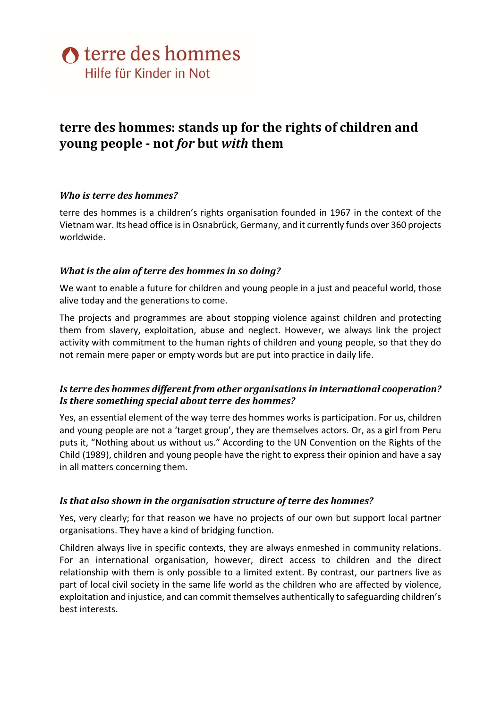# terre des hommes: stands up for the rights of children and young people - not for but with them

## Who is terre des hommes?

terre des hommes is a children's rights organisation founded in 1967 in the context of the Vietnam war. Its head office is in Osnabrück, Germany, and it currently funds over 360 projects worldwide.

#### What is the aim of terre des hommes in so doing?

We want to enable a future for children and young people in a just and peaceful world, those alive today and the generations to come.

The projects and programmes are about stopping violence against children and protecting them from slavery, exploitation, abuse and neglect. However, we always link the project activity with commitment to the human rights of children and young people, so that they do not remain mere paper or empty words but are put into practice in daily life.

## Is terre des hommes different from other organisations in international cooperation? Is there something special about terre des hommes?

Yes, an essential element of the way terre des hommes works is participation. For us, children and young people are not a 'target group', they are themselves actors. Or, as a girl from Peru puts it, "Nothing about us without us." According to the UN Convention on the Rights of the Child (1989), children and young people have the right to express their opinion and have a say in all matters concerning them.

## Is that also shown in the organisation structure of terre des hommes?

Yes, very clearly; for that reason we have no projects of our own but support local partner organisations. They have a kind of bridging function.

Children always live in specific contexts, they are always enmeshed in community relations. For an international organisation, however, direct access to children and the direct relationship with them is only possible to a limited extent. By contrast, our partners live as part of local civil society in the same life world as the children who are affected by violence, exploitation and injustice, and can commit themselves authentically to safeguarding children's best interests.